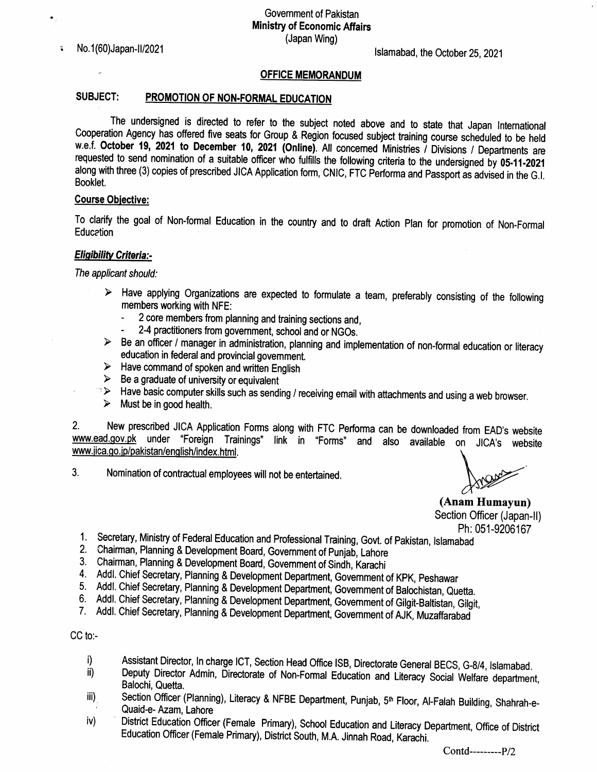No. 1(60) Japan-II/2021

 $\tilde{\bullet}$ 

# lslamabad, the October 25,2021

#### **OFFICE MEMORANDUM**

# SUBJECT: PROMOTION OF NON-FORMAL EDUCATION

The undensigned is directed to refer to the subject noted above and to state that Japan tnternational Cooperation Agency has offered five seats for Group & Region focused subject training course scheduled to be held w.e.f. October 19, 2021 to December 10, 2021 (Online). All concerned Ministries / Divisions / Departments are requested to send nomination of a suitable officer who fulfills the following criteria to the undersigned by 05-11-2021 along with three (3) copies of prescribed JICA Application form, CNIC, FTC Performa and Passport as advised in the G.I. Booklet.

#### **Course Objective:**

To clarify the goal of Non-forma! Education in the country and to draft Action plan for promotion of Non-Formal **Education** 

### **Eligibility Criteria:-**

The applicant should:

- $\triangleright$  Have applying Organizations are expected to formulate a team, preferably consisting of the following members working with NFE:
	- 2 core members from planning and training sections and,
	-
- 2-4 practitioners from government, school and or NGOs.<br>► Be an officer / manager in administration, planning and implementation of non-formal education or literacy education in federal and provincial government.<br>
> Have command of spoken and written English
- 
- 
- > Be a graduate of university or equivalent<br>□ > Have basic computer skills such as sending / receiving email with attachments and using a web browser.<br>→ Must be in good health.
- 

2. New prescribed JICA Application Forms along with FTC Performa can be downloaded from EAD's website www.ead.gov.pk under "Foreign Trainings" link in "Forms" and also available on JICA's website www.jica.go.jp/pakistan/english/index.html.

3. Nomination of contractual employees will not be entertained

(Anam Humayun) Section Officer (Japan-II)

- Ph: 051-9206167<br>1. Secretary, Ministry of Federal Education and Professional Training, Govt. of Pakistan, Islamabad
- 
- 
- 2. Chairman, Planning & Development Board, Government of Punjab, Lahore<br>3. Chairman, Planning & Development Board, Government of Sindh, Karachi<br>4. Addl. Chief Secretary, Planning & Development Department, Government of KPK
- 
- 
- 6. Addl. Chief Secretary, Planning & Development Department, Government of Gilgit-Baltistan, Gilgit,<br>7. Addl. Chief Secretary, Planning & Development Department, Government of AJK, Muzaffarabad

### CC to:-

- i) Assistant Director, In charge ICT, Section Head Office ISB, Directorate General BECS, G-8/4, Islamabad.
- ii) Deputy Director Admin, Directorate of Non-Formal Education and Literacy Social Welfare department, Balochi, Quetta.
- iii). Section Officer (Planning), Literacy & NFBE Department, Punjab, 5<sup>th</sup> Floor, Al-Falah Building, Shahrah-e-Quaid-e- Azam, Lahore
- iv) District Education Officer (Female Primary), School Education and Literacy Department, Office of District Education Officer (Female Primary), District South, M.A. Jinnah Road, Karachi.

Contd---------P/2